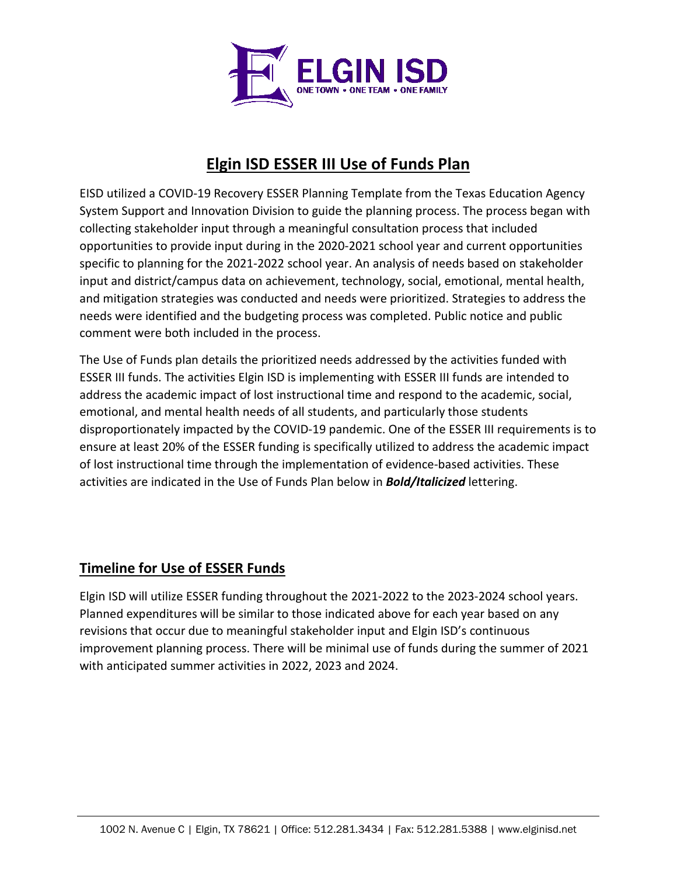

# **Elgin ISD ESSER III Use of Funds Plan**

EISD utilized a COVID-19 Recovery ESSER Planning Template from the Texas Education Agency System Support and Innovation Division to guide the planning process. The process began with collecting stakeholder input through a meaningful consultation process that included opportunities to provide input during in the 2020-2021 school year and current opportunities specific to planning for the 2021-2022 school year. An analysis of needs based on stakeholder input and district/campus data on achievement, technology, social, emotional, mental health, and mitigation strategies was conducted and needs were prioritized. Strategies to address the needs were identified and the budgeting process was completed. Public notice and public comment were both included in the process.

The Use of Funds plan details the prioritized needs addressed by the activities funded with ESSER III funds. The activities Elgin ISD is implementing with ESSER III funds are intended to address the academic impact of lost instructional time and respond to the academic, social, emotional, and mental health needs of all students, and particularly those students disproportionately impacted by the COVID-19 pandemic. One of the ESSER III requirements is to ensure at least 20% of the ESSER funding is specifically utilized to address the academic impact of lost instructional time through the implementation of evidence-based activities. These activities are indicated in the Use of Funds Plan below in *Bold/Italicized* lettering.

## **Timeline for Use of ESSER Funds**

Elgin ISD will utilize ESSER funding throughout the 2021-2022 to the 2023-2024 school years. Planned expenditures will be similar to those indicated above for each year based on any revisions that occur due to meaningful stakeholder input and Elgin ISD's continuous improvement planning process. There will be minimal use of funds during the summer of 2021 with anticipated summer activities in 2022, 2023 and 2024.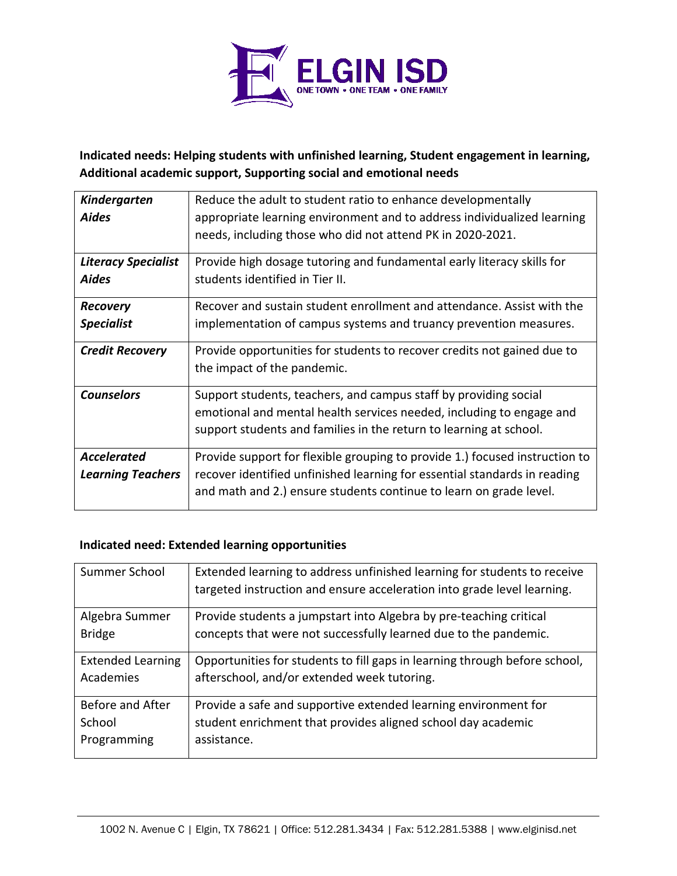

### **Indicated needs: Helping students with unfinished learning, Student engagement in learning, Additional academic support, Supporting social and emotional needs**

| <b>Kindergarten</b>                            | Reduce the adult to student ratio to enhance developmentally                                                                                                                                                                   |
|------------------------------------------------|--------------------------------------------------------------------------------------------------------------------------------------------------------------------------------------------------------------------------------|
| <b>Aides</b>                                   | appropriate learning environment and to address individualized learning                                                                                                                                                        |
|                                                | needs, including those who did not attend PK in 2020-2021.                                                                                                                                                                     |
| <b>Literacy Specialist</b>                     | Provide high dosage tutoring and fundamental early literacy skills for                                                                                                                                                         |
| <b>Aides</b>                                   | students identified in Tier II.                                                                                                                                                                                                |
| <b>Recovery</b>                                | Recover and sustain student enrollment and attendance. Assist with the                                                                                                                                                         |
| <b>Specialist</b>                              | implementation of campus systems and truancy prevention measures.                                                                                                                                                              |
| <b>Credit Recovery</b>                         | Provide opportunities for students to recover credits not gained due to<br>the impact of the pandemic.                                                                                                                         |
| <b>Counselors</b>                              | Support students, teachers, and campus staff by providing social<br>emotional and mental health services needed, including to engage and<br>support students and families in the return to learning at school.                 |
|                                                |                                                                                                                                                                                                                                |
| <b>Accelerated</b><br><b>Learning Teachers</b> | Provide support for flexible grouping to provide 1.) focused instruction to<br>recover identified unfinished learning for essential standards in reading<br>and math and 2.) ensure students continue to learn on grade level. |

#### **Indicated need: Extended learning opportunities**

| Summer School            | Extended learning to address unfinished learning for students to receive   |
|--------------------------|----------------------------------------------------------------------------|
|                          | targeted instruction and ensure acceleration into grade level learning.    |
| Algebra Summer           | Provide students a jumpstart into Algebra by pre-teaching critical         |
| <b>Bridge</b>            | concepts that were not successfully learned due to the pandemic.           |
| <b>Extended Learning</b> | Opportunities for students to fill gaps in learning through before school, |
| Academies                | afterschool, and/or extended week tutoring.                                |
| Before and After         | Provide a safe and supportive extended learning environment for            |
| School                   | student enrichment that provides aligned school day academic               |
| Programming              | assistance.                                                                |
|                          |                                                                            |